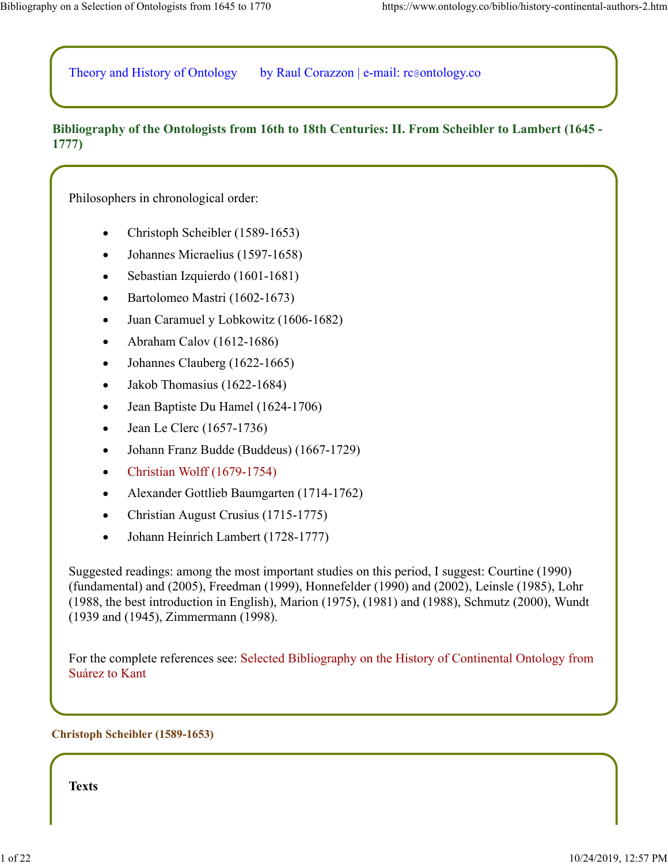Theory and History of Ontology by Raul Corazzon | e-mail: rc@ontology.co

## **Bibliography of the Ontologists from 16th to 18th Centuries: II. From Scheibler to Lambert (1645 - 1777)**

Philosophers in chronological order:

- Christoph Scheibler (1589-1653)
- Johannes Micraelius (1597-1658)
- Sebastian Izquierdo (1601-1681)
- Bartolomeo Mastri (1602-1673)  $\bullet$
- Juan Caramuel y Lobkowitz (1606-1682)
- Abraham Calov (1612-1686)  $\bullet$
- Johannes Clauberg (1622-1665)  $\bullet$
- Jakob Thomasius (1622-1684)  $\bullet$
- Jean Baptiste Du Hamel (1624-1706)
- Jean Le Clerc (1657-1736)
- Johann Franz Budde (Buddeus) (1667-1729)
- Christian Wolff (1679-1754)
- Alexander Gottlieb Baumgarten (1714-1762)
- Christian August Crusius (1715-1775)
- Johann Heinrich Lambert (1728-1777)

Suggested readings: among the most important studies on this period, I suggest: Courtine (1990) (fundamental) and (2005), Freedman (1999), Honnefelder (1990) and (2002), Leinsle (1985), Lohr (1988, the best introduction in English), Marion (1975), (1981) and (1988), Schmutz (2000), Wundt (1939 and (1945), Zimmermann (1998).

For the complete references see: Selected Bibliography on the History of Continental Ontology from Suárez to Kant

#### **Christoph Scheibler (1589-1653)**

**Texts**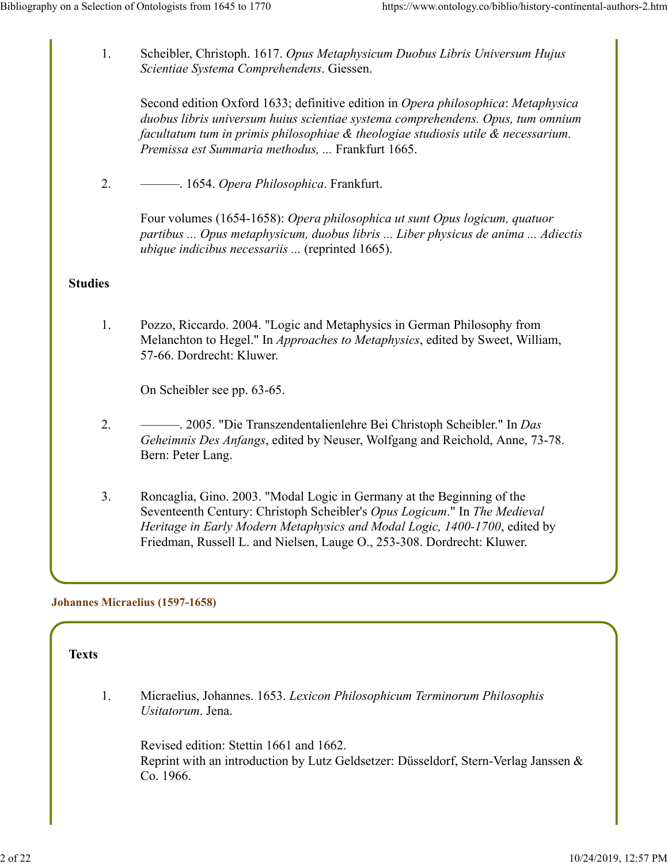1. Scheibler, Christoph. 1617. *Opus Metaphysicum Duobus Libris Universum Hujus Scientiae Systema Comprehendens*. Giessen.

Second edition Oxford 1633; definitive edition in *Opera philosophica*: *Metaphysica duobus libris universum huius scientiae systema comprehendens. Opus, tum omnium facultatum tum in primis philosophiae & theologiae studiosis utile & necessarium. Premissa est Summaria methodus, ...* Frankfurt 1665.

2. ———. 1654. *Opera Philosophica*. Frankfurt.

Four volumes (1654-1658): *Opera philosophica ut sunt Opus logicum, quatuor partibus ... Opus metaphysicum, duobus libris ... Liber physicus de anima ... Adiectis ubique indicibus necessariis ...* (reprinted 1665).

### **Studies**

1. Pozzo, Riccardo. 2004. "Logic and Metaphysics in German Philosophy from Melanchton to Hegel." In *Approaches to Metaphysics*, edited by Sweet, William, 57-66. Dordrecht: Kluwer.

On Scheibler see pp. 63-65.

- 2. ———. 2005. "Die Transzendentalienlehre Bei Christoph Scheibler." In *Das Geheimnis Des Anfangs*, edited by Neuser, Wolfgang and Reichold, Anne, 73-78. Bern: Peter Lang.
- 3. Roncaglia, Gino. 2003. "Modal Logic in Germany at the Beginning of the Seventeenth Century: Christoph Scheibler's *Opus Logicum*." In *The Medieval Heritage in Early Modern Metaphysics and Modal Logic, 1400-1700*, edited by Friedman, Russell L. and Nielsen, Lauge O., 253-308. Dordrecht: Kluwer.

#### **Johannes Micraelius (1597-1658)**

#### **Texts**

1. Micraelius, Johannes. 1653. *Lexicon Philosophicum Terminorum Philosophis Usitatorum*. Jena.

Revised edition: Stettin 1661 and 1662. Reprint with an introduction by Lutz Geldsetzer: Düsseldorf, Stern-Verlag Janssen & Co. 1966.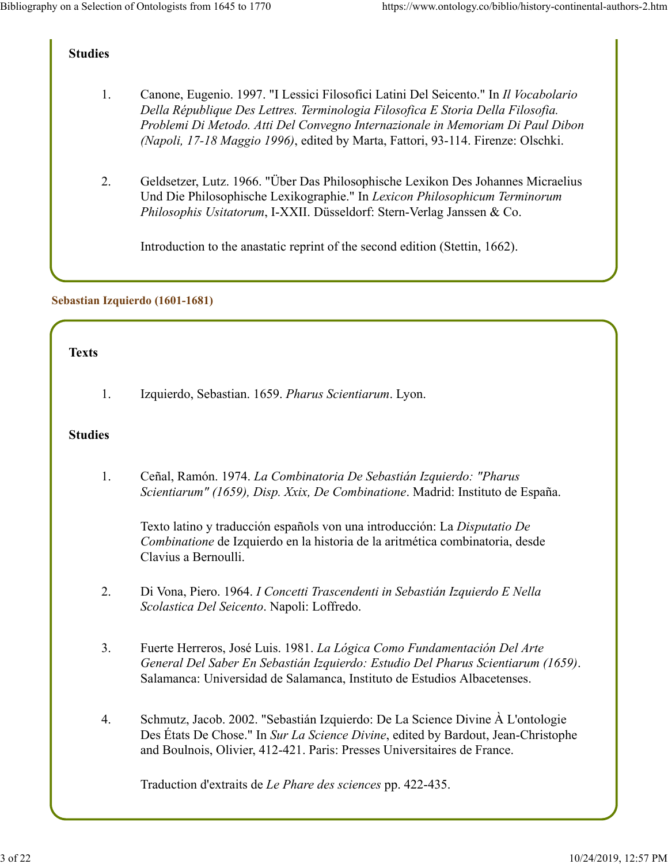## **Studies**

- 1. Canone, Eugenio. 1997. "I Lessici Filosofici Latini Del Seicento." In *Il Vocabolario Della République Des Lettres. Terminologia Filosofica E Storia Della Filosofia. Problemi Di Metodo. Atti Del Convegno Internazionale in Memoriam Di Paul Dibon (Napoli, 17-18 Maggio 1996)*, edited by Marta, Fattori, 93-114. Firenze: Olschki.
- 2. Geldsetzer, Lutz. 1966. "Über Das Philosophische Lexikon Des Johannes Micraelius Und Die Philosophische Lexikographie." In *Lexicon Philosophicum Terminorum Philosophis Usitatorum*, I-XXII. Düsseldorf: Stern-Verlag Janssen & Co.

Introduction to the anastatic reprint of the second edition (Stettin, 1662).

## **Sebastian Izquierdo (1601-1681)**

### **Texts**

1. Izquierdo, Sebastian. 1659. *Pharus Scientiarum*. Lyon.

## **Studies**

1. Ceñal, Ramón. 1974. *La Combinatoria De Sebastián Izquierdo: "Pharus Scientiarum" (1659), Disp. Xxix, De Combinatione*. Madrid: Instituto de España.

Texto latino y traducción españols von una introducción: La *Disputatio De Combinatione* de Izquierdo en la historia de la aritmética combinatoria, desde Clavius a Bernoulli.

- 2. Di Vona, Piero. 1964. *I Concetti Trascendenti in Sebastián Izquierdo E Nella Scolastica Del Seicento*. Napoli: Loffredo.
- 3. Fuerte Herreros, José Luis. 1981. *La Lógica Como Fundamentación Del Arte General Del Saber En Sebastián Izquierdo: Estudio Del Pharus Scientiarum (1659)*. Salamanca: Universidad de Salamanca, Instituto de Estudios Albacetenses.
- 4. Schmutz, Jacob. 2002. "Sebastián Izquierdo: De La Science Divine À L'ontologie Des États De Chose." In *Sur La Science Divine*, edited by Bardout, Jean-Christophe and Boulnois, Olivier, 412-421. Paris: Presses Universitaires de France.

Traduction d'extraits de *Le Phare des sciences* pp. 422-435.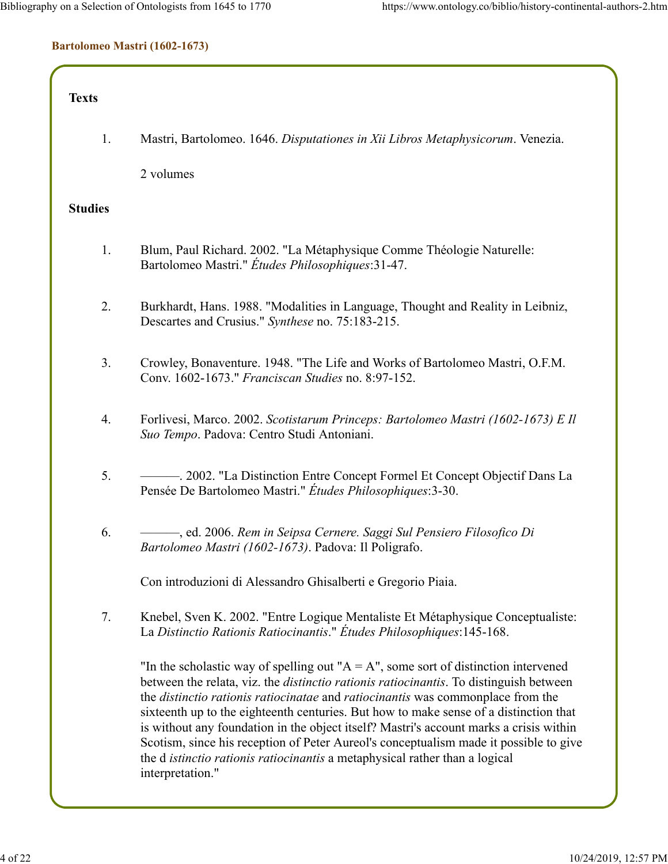#### **Bartolomeo Mastri (1602-1673)**

### **Texts**

1. Mastri, Bartolomeo. 1646. *Disputationes in Xii Libros Metaphysicorum*. Venezia.

2 volumes

### **Studies**

- 1. Blum, Paul Richard. 2002. "La Métaphysique Comme Théologie Naturelle: Bartolomeo Mastri." *Études Philosophiques*:31-47.
- 2. Burkhardt, Hans. 1988. "Modalities in Language, Thought and Reality in Leibniz, Descartes and Crusius." *Synthese* no. 75:183-215.
- 3. Crowley, Bonaventure. 1948. "The Life and Works of Bartolomeo Mastri, O.F.M. Conv. 1602-1673." *Franciscan Studies* no. 8:97-152.
- 4. Forlivesi, Marco. 2002. *Scotistarum Princeps: Bartolomeo Mastri (1602-1673) E Il Suo Tempo*. Padova: Centro Studi Antoniani.
- 5. ———. 2002. "La Distinction Entre Concept Formel Et Concept Objectif Dans La Pensée De Bartolomeo Mastri." *Études Philosophiques*:3-30.
- 6. ———, ed. 2006. *Rem in Seipsa Cernere. Saggi Sul Pensiero Filosofico Di Bartolomeo Mastri (1602-1673)*. Padova: Il Poligrafo.

Con introduzioni di Alessandro Ghisalberti e Gregorio Piaia.

7. Knebel, Sven K. 2002. "Entre Logique Mentaliste Et Métaphysique Conceptualiste: La *Distinctio Rationis Ratiocinantis*." *Études Philosophiques*:145-168.

"In the scholastic way of spelling out " $A = A$ ", some sort of distinction intervened between the relata, viz. the *distinctio rationis ratiocinantis*. To distinguish between the *distinctio rationis ratiocinatae* and *ratiocinantis* was commonplace from the sixteenth up to the eighteenth centuries. But how to make sense of a distinction that is without any foundation in the object itself? Mastri's account marks a crisis within Scotism, since his reception of Peter Aureol's conceptualism made it possible to give the d *istinctio rationis ratiocinantis* a metaphysical rather than a logical interpretation."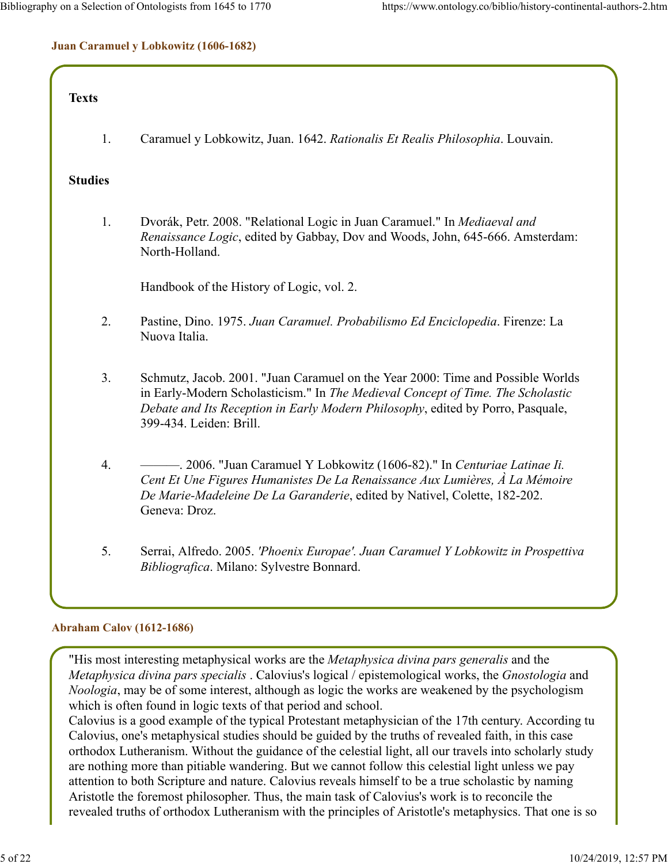## **Juan Caramuel y Lobkowitz (1606-1682)**

## **Texts**

1. Caramuel y Lobkowitz, Juan. 1642. *Rationalis Et Realis Philosophia*. Louvain.

## **Studies**

1. Dvorák, Petr. 2008. "Relational Logic in Juan Caramuel." In *Mediaeval and Renaissance Logic*, edited by Gabbay, Dov and Woods, John, 645-666. Amsterdam: North-Holland.

Handbook of the History of Logic, vol. 2.

- 2. Pastine, Dino. 1975. *Juan Caramuel. Probabilismo Ed Enciclopedia*. Firenze: La Nuova Italia.
- 3. Schmutz, Jacob. 2001. "Juan Caramuel on the Year 2000: Time and Possible Worlds in Early-Modern Scholasticism." In *The Medieval Concept of Time. The Scholastic Debate and Its Reception in Early Modern Philosophy*, edited by Porro, Pasquale, 399-434. Leiden: Brill.
- 4. ———. 2006. "Juan Caramuel Y Lobkowitz (1606-82)." In *Centuriae Latinae Ii. Cent Et Une Figures Humanistes De La Renaissance Aux Lumières, À La Mémoire De Marie-Madeleine De La Garanderie*, edited by Nativel, Colette, 182-202. Geneva: Droz.
- 5. Serrai, Alfredo. 2005. *'Phoenix Europae'. Juan Caramuel Y Lobkowitz in Prospettiva Bibliografica*. Milano: Sylvestre Bonnard.

### **Abraham Calov (1612-1686)**

"His most interesting metaphysical works are the *Metaphysica divina pars generalis* and the *Metaphysica divina pars specialis* . Calovius's logical / epistemological works, the *Gnostologia* and *Noologia*, may be of some interest, although as logic the works are weakened by the psychologism which is often found in logic texts of that period and school.

Calovius is a good example of the typical Protestant metaphysician of the 17th century. According tu Calovius, one's metaphysical studies should be guided by the truths of revealed faith, in this case orthodox Lutheranism. Without the guidance of the celestial light, all our travels into scholarly study are nothing more than pitiable wandering. But we cannot follow this celestial light unless we pay attention to both Scripture and nature. Calovius reveals himself to be a true scholastic by naming Aristotle the foremost philosopher. Thus, the main task of Calovius's work is to reconcile the revealed truths of orthodox Lutheranism with the principles of Aristotle's metaphysics. That one is so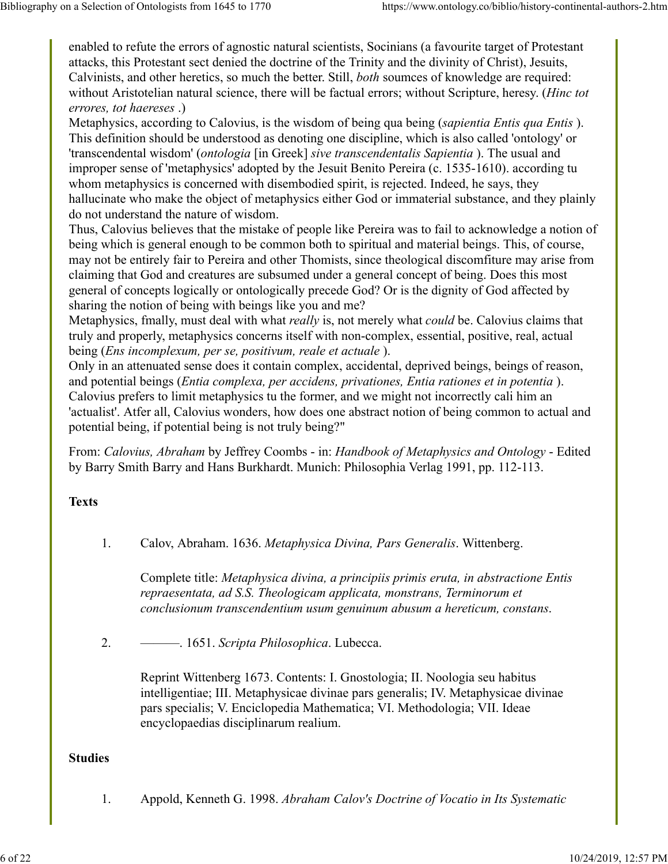enabled to refute the errors of agnostic natural scientists, Socinians (a favourite target of Protestant attacks, this Protestant sect denied the doctrine of the Trinity and the divinity of Christ), Jesuits, Calvinists, and other heretics, so much the better. Still, *both* soumces of knowledge are required: without Aristotelian natural science, there will be factual errors; without Scripture, heresy. (*Hinc tot errores, tot haereses* .)

Metaphysics, according to Calovius, is the wisdom of being qua being (*sapientia Entis qua Entis* ). This definition should be understood as denoting one discipline, which is also called 'ontology' or 'transcendental wisdom' (*ontologia* [in Greek] *sive transcendentalis Sapientia* ). The usual and improper sense of 'metaphysics' adopted by the Jesuit Benito Pereira (c. 1535-1610). according tu whom metaphysics is concerned with disembodied spirit, is rejected. Indeed, he says, they hallucinate who make the object of metaphysics either God or immaterial substance, and they plainly do not understand the nature of wisdom.

Thus, Calovius believes that the mistake of people like Pereira was to fail to acknowledge a notion of being which is general enough to be common both to spiritual and material beings. This, of course, may not be entirely fair to Pereira and other Thomists, since theological discomfiture may arise from claiming that God and creatures are subsumed under a general concept of being. Does this most general of concepts logically or ontologically precede God? Or is the dignity of God affected by sharing the notion of being with beings like you and me?

Metaphysics, fmally, must deal with what *really* is, not merely what *could* be. Calovius claims that truly and properly, metaphysics concerns itself with non-complex, essential, positive, real, actual being (*Ens incomplexum, per se, positivum, reale et actuale* ).

Only in an attenuated sense does it contain complex, accidental, deprived beings, beings of reason, and potential beings (*Entia complexa, per accidens, privationes, Entia rationes et in potentia* ). Calovius prefers to limit metaphysics tu the former, and we might not incorrectly cali him an 'actualist'. Atfer all, Calovius wonders, how does one abstract notion of being common to actual and potential being, if potential being is not truly being?"

From: *Calovius, Abraham* by Jeffrey Coombs - in: *Handbook of Metaphysics and Ontology* - Edited by Barry Smith Barry and Hans Burkhardt. Munich: Philosophia Verlag 1991, pp. 112-113.

## **Texts**

1. Calov, Abraham. 1636. *Metaphysica Divina, Pars Generalis*. Wittenberg.

Complete title: *Metaphysica divina, a principiis primis eruta, in abstractione Entis repraesentata, ad S.S. Theologicam applicata, monstrans, Terminorum et conclusionum transcendentium usum genuinum abusum a hereticum, constans*.

2. ———. 1651. *Scripta Philosophica*. Lubecca.

Reprint Wittenberg 1673. Contents: I. Gnostologia; II. Noologia seu habitus intelligentiae; III. Metaphysicae divinae pars generalis; IV. Metaphysicae divinae pars specialis; V. Enciclopedia Mathematica; VI. Methodologia; VII. Ideae encyclopaedias disciplinarum realium.

#### **Studies**

1. Appold, Kenneth G. 1998. *Abraham Calov's Doctrine of Vocatio in Its Systematic*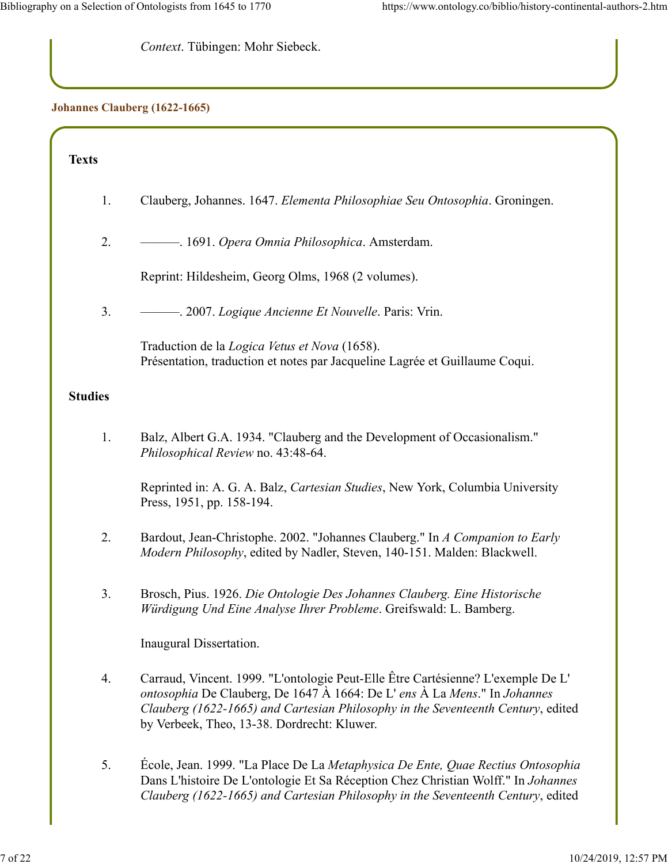*Context*. Tübingen: Mohr Siebeck.

### **Johannes Clauberg (1622-1665)**

## **Texts**

- 1. Clauberg, Johannes. 1647. *Elementa Philosophiae Seu Ontosophia*. Groningen.
- 2. ———. 1691. *Opera Omnia Philosophica*. Amsterdam.

Reprint: Hildesheim, Georg Olms, 1968 (2 volumes).

3. ———. 2007. *Logique Ancienne Et Nouvelle*. Paris: Vrin.

Traduction de la *Logica Vetus et Nova* (1658). Présentation, traduction et notes par Jacqueline Lagrée et Guillaume Coqui.

### **Studies**

1. Balz, Albert G.A. 1934. "Clauberg and the Development of Occasionalism." *Philosophical Review* no. 43:48-64.

Reprinted in: A. G. A. Balz, *Cartesian Studies*, New York, Columbia University Press, 1951, pp. 158-194.

- 2. Bardout, Jean-Christophe. 2002. "Johannes Clauberg." In *A Companion to Early Modern Philosophy*, edited by Nadler, Steven, 140-151. Malden: Blackwell.
- 3. Brosch, Pius. 1926. *Die Ontologie Des Johannes Clauberg. Eine Historische Würdigung Und Eine Analyse Ihrer Probleme*. Greifswald: L. Bamberg.

Inaugural Dissertation.

- 4. Carraud, Vincent. 1999. "L'ontologie Peut-Elle Être Cartésienne? L'exemple De L' *ontosophia* De Clauberg, De 1647 À 1664: De L' *ens* À La *Mens*." In *Johannes Clauberg (1622-1665) and Cartesian Philosophy in the Seventeenth Century*, edited by Verbeek, Theo, 13-38. Dordrecht: Kluwer.
- 5. École, Jean. 1999. "La Place De La *Metaphysica De Ente, Quae Rectius Ontosophia* Dans L'histoire De L'ontologie Et Sa Réception Chez Christian Wolff." In *Johannes Clauberg (1622-1665) and Cartesian Philosophy in the Seventeenth Century*, edited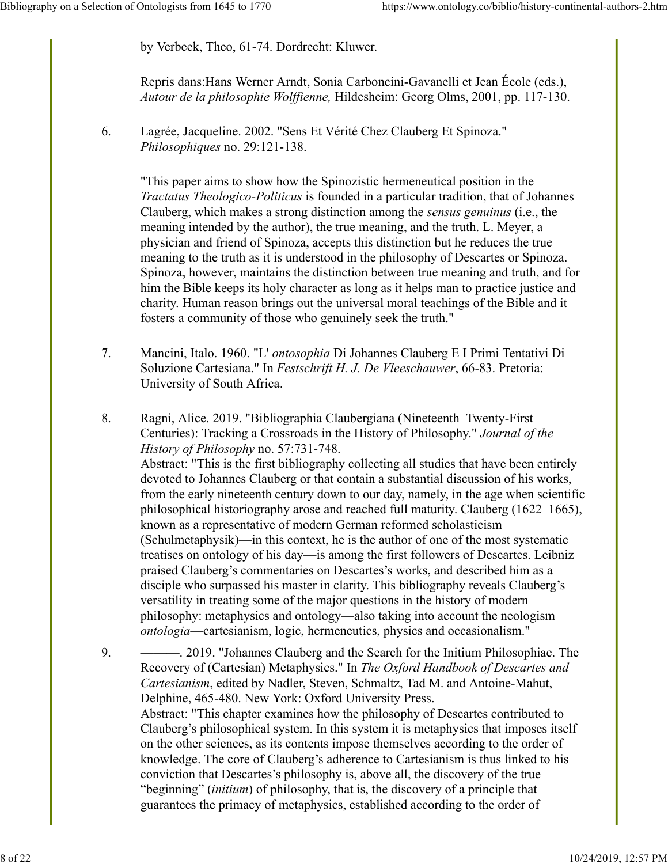by Verbeek, Theo, 61-74. Dordrecht: Kluwer.

Repris dans:Hans Werner Arndt, Sonia Carboncini-Gavanelli et Jean École (eds.), *Autour de la philosophie Wolffienne,* Hildesheim: Georg Olms, 2001, pp. 117-130.

6. Lagrée, Jacqueline. 2002. "Sens Et Vérité Chez Clauberg Et Spinoza." *Philosophiques* no. 29:121-138.

"This paper aims to show how the Spinozistic hermeneutical position in the *Tractatus Theologico-Politicus* is founded in a particular tradition, that of Johannes Clauberg, which makes a strong distinction among the *sensus genuinus* (i.e., the meaning intended by the author), the true meaning, and the truth. L. Meyer, a physician and friend of Spinoza, accepts this distinction but he reduces the true meaning to the truth as it is understood in the philosophy of Descartes or Spinoza. Spinoza, however, maintains the distinction between true meaning and truth, and for him the Bible keeps its holy character as long as it helps man to practice justice and charity. Human reason brings out the universal moral teachings of the Bible and it fosters a community of those who genuinely seek the truth."

7. Mancini, Italo. 1960. "L' *ontosophia* Di Johannes Clauberg E I Primi Tentativi Di Soluzione Cartesiana." In *Festschrift H. J. De Vleeschauwer*, 66-83. Pretoria: University of South Africa.

8. Ragni, Alice. 2019. "Bibliographia Claubergiana (Nineteenth–Twenty-First Centuries): Tracking a Crossroads in the History of Philosophy." *Journal of the History of Philosophy* no. 57:731-748. Abstract: "This is the first bibliography collecting all studies that have been entirely devoted to Johannes Clauberg or that contain a substantial discussion of his works, from the early nineteenth century down to our day, namely, in the age when scientific

philosophical historiography arose and reached full maturity. Clauberg (1622–1665), known as a representative of modern German reformed scholasticism (Schulmetaphysik)—in this context, he is the author of one of the most systematic treatises on ontology of his day—is among the first followers of Descartes. Leibniz praised Clauberg's commentaries on Descartes's works, and described him as a disciple who surpassed his master in clarity. This bibliography reveals Clauberg's versatility in treating some of the major questions in the history of modern philosophy: metaphysics and ontology—also taking into account the neologism *ontologia*—cartesianism, logic, hermeneutics, physics and occasionalism."

9. ———. 2019. "Johannes Clauberg and the Search for the Initium Philosophiae. The Recovery of (Cartesian) Metaphysics." In *The Oxford Handbook of Descartes and Cartesianism*, edited by Nadler, Steven, Schmaltz, Tad M. and Antoine-Mahut, Delphine, 465-480. New York: Oxford University Press. Abstract: "This chapter examines how the philosophy of Descartes contributed to Clauberg's philosophical system. In this system it is metaphysics that imposes itself on the other sciences, as its contents impose themselves according to the order of knowledge. The core of Clauberg's adherence to Cartesianism is thus linked to his conviction that Descartes's philosophy is, above all, the discovery of the true "beginning" (*initium*) of philosophy, that is, the discovery of a principle that guarantees the primacy of metaphysics, established according to the order of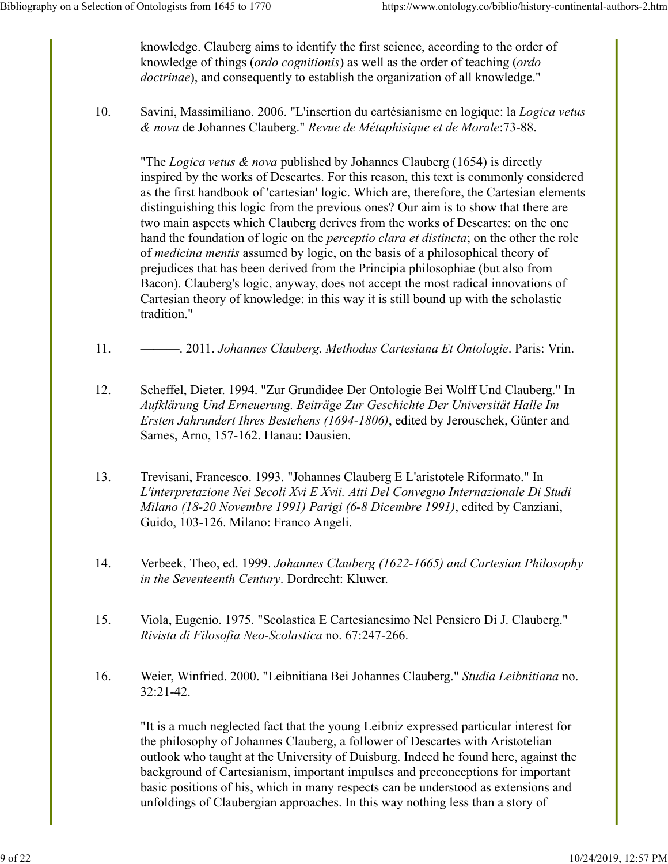knowledge. Clauberg aims to identify the first science, according to the order of knowledge of things (*ordo cognitionis*) as well as the order of teaching (*ordo doctrinae*), and consequently to establish the organization of all knowledge."

10. Savini, Massimiliano. 2006. "L'insertion du cartésianisme en logique: la *Logica vetus & nova* de Johannes Clauberg." *Revue de Métaphisique et de Morale*:73-88.

"The *Logica vetus & nova* published by Johannes Clauberg (1654) is directly inspired by the works of Descartes. For this reason, this text is commonly considered as the first handbook of 'cartesian' logic. Which are, therefore, the Cartesian elements distinguishing this logic from the previous ones? Our aim is to show that there are two main aspects which Clauberg derives from the works of Descartes: on the one hand the foundation of logic on the *perceptio clara et distincta*; on the other the role of *medicina mentis* assumed by logic, on the basis of a philosophical theory of prejudices that has been derived from the Principia philosophiae (but also from Bacon). Clauberg's logic, anyway, does not accept the most radical innovations of Cartesian theory of knowledge: in this way it is still bound up with the scholastic tradition."

- 11. ———. 2011. *Johannes Clauberg. Methodus Cartesiana Et Ontologie*. Paris: Vrin.
- 12. Scheffel, Dieter. 1994. "Zur Grundidee Der Ontologie Bei Wolff Und Clauberg." In *Aufklärung Und Erneuerung. Beiträge Zur Geschichte Der Universität Halle Im Ersten Jahrundert Ihres Bestehens (1694-1806)*, edited by Jerouschek, Günter and Sames, Arno, 157-162. Hanau: Dausien.
- 13. Trevisani, Francesco. 1993. "Johannes Clauberg E L'aristotele Riformato." In *L'interpretazione Nei Secoli Xvi E Xvii. Atti Del Convegno Internazionale Di Studi Milano (18-20 Novembre 1991) Parigi (6-8 Dicembre 1991)*, edited by Canziani, Guido, 103-126. Milano: Franco Angeli.
- 14. Verbeek, Theo, ed. 1999. *Johannes Clauberg (1622-1665) and Cartesian Philosophy in the Seventeenth Century*. Dordrecht: Kluwer.
- 15. Viola, Eugenio. 1975. "Scolastica E Cartesianesimo Nel Pensiero Di J. Clauberg." *Rivista di Filosofia Neo-Scolastica* no. 67:247-266.
- 16. Weier, Winfried. 2000. "Leibnitiana Bei Johannes Clauberg." *Studia Leibnitiana* no. 32:21-42.

"It is a much neglected fact that the young Leibniz expressed particular interest for the philosophy of Johannes Clauberg, a follower of Descartes with Aristotelian outlook who taught at the University of Duisburg. Indeed he found here, against the background of Cartesianism, important impulses and preconceptions for important basic positions of his, which in many respects can be understood as extensions and unfoldings of Claubergian approaches. In this way nothing less than a story of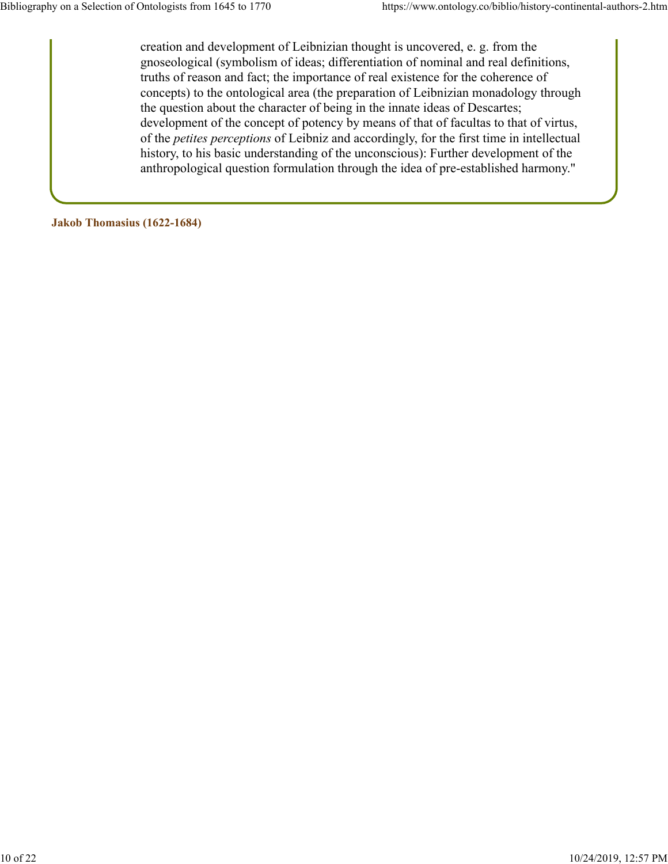creation and development of Leibnizian thought is uncovered, e. g. from the gnoseological (symbolism of ideas; differentiation of nominal and real definitions, truths of reason and fact; the importance of real existence for the coherence of concepts) to the ontological area (the preparation of Leibnizian monadology through the question about the character of being in the innate ideas of Descartes; development of the concept of potency by means of that of facultas to that of virtus, of the *petites perceptions* of Leibniz and accordingly, for the first time in intellectual history, to his basic understanding of the unconscious): Further development of the anthropological question formulation through the idea of pre-established harmony."

**Jakob Thomasius (1622-1684)**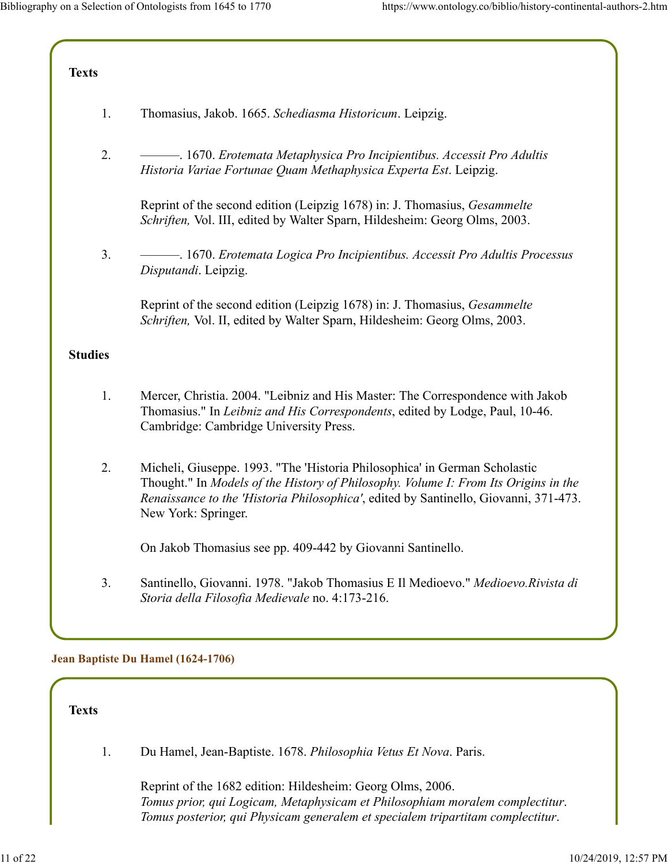| <b>Texts</b>   |                                                                                                                                                                                                                                                                                  |
|----------------|----------------------------------------------------------------------------------------------------------------------------------------------------------------------------------------------------------------------------------------------------------------------------------|
| 1.             | Thomasius, Jakob. 1665. Schediasma Historicum. Leipzig.                                                                                                                                                                                                                          |
| 2.             | Historia Variae Fortunae Quam Methaphysica Experta Est. Leipzig.                                                                                                                                                                                                                 |
|                | Reprint of the second edition (Leipzig 1678) in: J. Thomasius, <i>Gesammelte</i><br>Schriften, Vol. III, edited by Walter Sparn, Hildesheim: Georg Olms, 2003.                                                                                                                   |
| 3.             | - 1670. Erotemata Logica Pro Incipientibus. Accessit Pro Adultis Processus<br>Disputandi. Leipzig.                                                                                                                                                                               |
|                | Reprint of the second edition (Leipzig 1678) in: J. Thomasius, Gesammelte<br>Schriften, Vol. II, edited by Walter Sparn, Hildesheim: Georg Olms, 2003.                                                                                                                           |
| <b>Studies</b> |                                                                                                                                                                                                                                                                                  |
| 1.             | Mercer, Christia. 2004. "Leibniz and His Master: The Correspondence with Jakob<br>Thomasius." In Leibniz and His Correspondents, edited by Lodge, Paul, 10-46.<br>Cambridge: Cambridge University Press.                                                                         |
| 2.             | Micheli, Giuseppe. 1993. "The 'Historia Philosophica' in German Scholastic<br>Thought." In Models of the History of Philosophy. Volume I: From Its Origins in the<br>Renaissance to the 'Historia Philosophica', edited by Santinello, Giovanni, 371-473.<br>New York: Springer. |
|                | On Jakob Thomasius see pp. 409-442 by Giovanni Santinello.                                                                                                                                                                                                                       |
| 3.             | Santinello, Giovanni. 1978. "Jakob Thomasius E Il Medioevo." Medioevo. Rivista di<br>Storia della Filosofia Medievale no. 4:173-216.                                                                                                                                             |
|                | Jean Baptiste Du Hamel (1624-1706)                                                                                                                                                                                                                                               |

**Texts**

1. Du Hamel, Jean-Baptiste. 1678. *Philosophia Vetus Et Nova*. Paris.

Reprint of the 1682 edition: Hildesheim: Georg Olms, 2006. *Tomus prior, qui Logicam, Metaphysicam et Philosophiam moralem complectitur*. *Tomus posterior, qui Physicam generalem et specialem tripartitam complectitur*.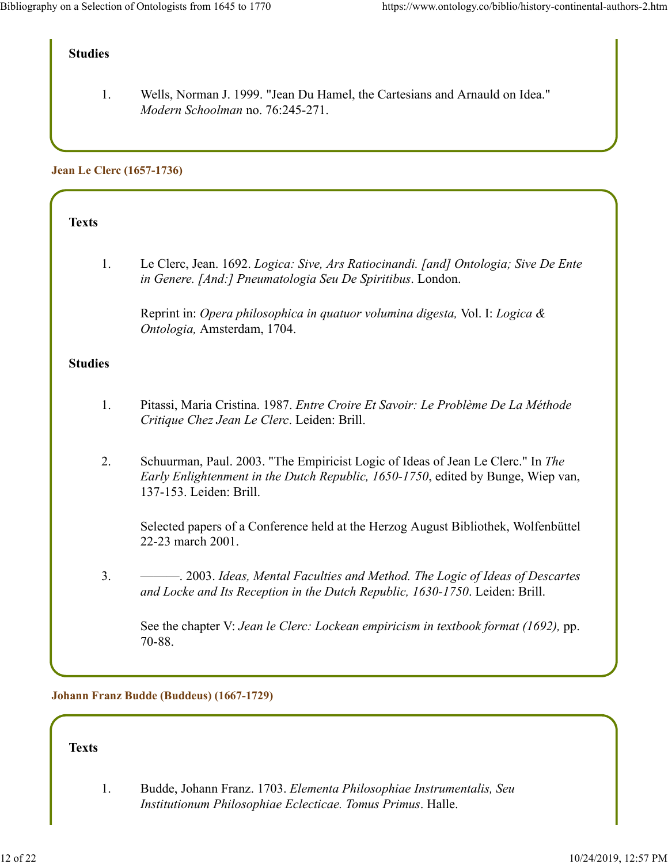## **Studies**

1. Wells, Norman J. 1999. "Jean Du Hamel, the Cartesians and Arnauld on Idea." *Modern Schoolman* no. 76:245-271.

#### **Jean Le Clerc (1657-1736)**

| Texts          |                                                                                                                                                   |
|----------------|---------------------------------------------------------------------------------------------------------------------------------------------------|
| 1.             | Le Clerc, Jean. 1692. Logica: Sive, Ars Ratiocinandi. [and] Ontologia; Sive De Ente<br>in Genere. [And:] Pneumatologia Seu De Spiritibus. London. |
|                | Reprint in: Opera philosophica in quatuor volumina digesta, Vol. I: Logica &<br>Ontologia, Amsterdam, 1704.                                       |
| <b>Studies</b> |                                                                                                                                                   |
| 1.             | Pitassi, Maria Cristina. 1987. Entre Croire Et Savoir: Le Problème De La Méthode<br>Critique Chez Jean Le Clerc. Leiden: Brill.                   |

2. Schuurman, Paul. 2003. "The Empiricist Logic of Ideas of Jean Le Clerc." In *The Early Enlightenment in the Dutch Republic, 1650-1750*, edited by Bunge, Wiep van, 137-153. Leiden: Brill.

Selected papers of a Conference held at the Herzog August Bibliothek, Wolfenbüttel 22-23 march 2001.

3. ———. 2003. *Ideas, Mental Faculties and Method. The Logic of Ideas of Descartes and Locke and Its Reception in the Dutch Republic, 1630-1750*. Leiden: Brill.

See the chapter V: *Jean le Clerc: Lockean empiricism in textbook format (1692),* pp. 70-88.

#### **Johann Franz Budde (Buddeus) (1667-1729)**

#### **Texts**

1. Budde, Johann Franz. 1703. *Elementa Philosophiae Instrumentalis, Seu Institutionum Philosophiae Eclecticae. Tomus Primus*. Halle.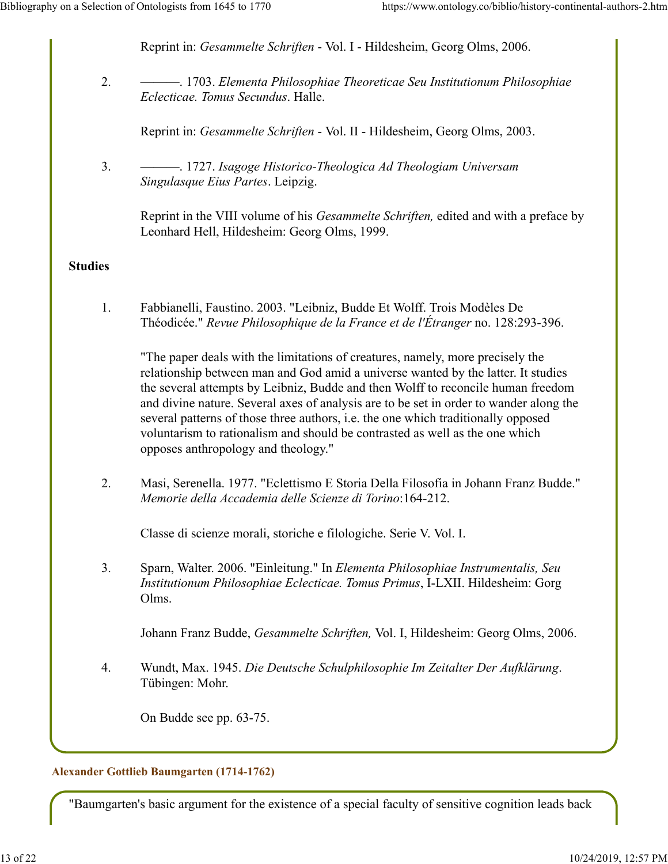Reprint in: *Gesammelte Schriften* - Vol. I - Hildesheim, Georg Olms, 2006.

2. ———. 1703. *Elementa Philosophiae Theoreticae Seu Institutionum Philosophiae Eclecticae. Tomus Secundus*. Halle.

Reprint in: *Gesammelte Schriften* - Vol. II - Hildesheim, Georg Olms, 2003.

3. ———. 1727. *Isagoge Historico-Theologica Ad Theologiam Universam Singulasque Eius Partes*. Leipzig.

Reprint in the VIII volume of his *Gesammelte Schriften,* edited and with a preface by Leonhard Hell, Hildesheim: Georg Olms, 1999.

## **Studies**

1. Fabbianelli, Faustino. 2003. "Leibniz, Budde Et Wolff. Trois Modèles De Théodicée." *Revue Philosophique de la France et de l'Étranger* no. 128:293-396.

"The paper deals with the limitations of creatures, namely, more precisely the relationship between man and God amid a universe wanted by the latter. It studies the several attempts by Leibniz, Budde and then Wolff to reconcile human freedom and divine nature. Several axes of analysis are to be set in order to wander along the several patterns of those three authors, i.e. the one which traditionally opposed voluntarism to rationalism and should be contrasted as well as the one which opposes anthropology and theology."

2. Masi, Serenella. 1977. "Eclettismo E Storia Della Filosofia in Johann Franz Budde." *Memorie della Accademia delle Scienze di Torino*:164-212.

Classe di scienze morali, storiche e filologiche. Serie V. Vol. I.

3. Sparn, Walter. 2006. "Einleitung." In *Elementa Philosophiae Instrumentalis, Seu Institutionum Philosophiae Eclecticae. Tomus Primus*, I-LXII. Hildesheim: Gorg Olms.

Johann Franz Budde, *Gesammelte Schriften,* Vol. I, Hildesheim: Georg Olms, 2006.

4. Wundt, Max. 1945. *Die Deutsche Schulphilosophie Im Zeitalter Der Aufklärung*. Tübingen: Mohr.

On Budde see pp. 63-75.

## **Alexander Gottlieb Baumgarten (1714-1762)**

"Baumgarten's basic argument for the existence of a special faculty of sensitive cognition leads back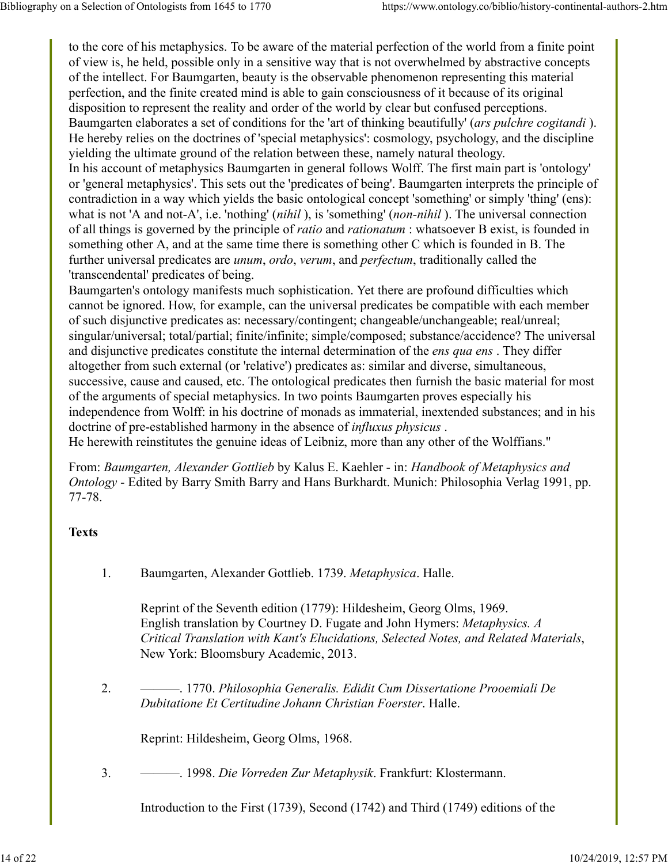to the core of his metaphysics. To be aware of the material perfection of the world from a finite point of view is, he held, possible only in a sensitive way that is not overwhelmed by abstractive concepts of the intellect. For Baumgarten, beauty is the observable phenomenon representing this material perfection, and the finite created mind is able to gain consciousness of it because of its original disposition to represent the reality and order of the world by clear but confused perceptions. Baumgarten elaborates a set of conditions for the 'art of thinking beautifully' (*ars pulchre cogitandi* ). He hereby relies on the doctrines of 'special metaphysics': cosmology, psychology, and the discipline yielding the ultimate ground of the relation between these, namely natural theology. In his account of metaphysics Baumgarten in general follows Wolff. The first main part is 'ontology' or 'general metaphysics'. This sets out the 'predicates of being'. Baumgarten interprets the principle of contradiction in a way which yields the basic ontological concept 'something' or simply 'thing' (ens): what is not 'A and not-A', i.e. 'nothing' (*nihil* ), is 'something' (*non-nihil* ). The universal connection of all things is governed by the principle of *ratio* and *rationatum* : whatsoever B exist, is founded in something other A, and at the same time there is something other C which is founded in B. The further universal predicates are *unum*, *ordo*, *verum*, and *perfectum*, traditionally called the 'transcendental' predicates of being.

Baumgarten's ontology manifests much sophistication. Yet there are profound difficulties which cannot be ignored. How, for example, can the universal predicates be compatible with each member of such disjunctive predicates as: necessary/contingent; changeable/unchangeable; real/unreal; singular/universal; total/partial; finite/infinite; simple/composed; substance/accidence? The universal and disjunctive predicates constitute the internal determination of the *ens qua ens* . They differ altogether from such external (or 'relative') predicates as: similar and diverse, simultaneous, successive, cause and caused, etc. The ontological predicates then furnish the basic material for most of the arguments of special metaphysics. In two points Baumgarten proves especially his independence from Wolff: in his doctrine of monads as immaterial, inextended substances; and in his doctrine of pre-established harmony in the absence of *influxus physicus* . He herewith reinstitutes the genuine ideas of Leibniz, more than any other of the Wolffians."

From: *Baumgarten, Alexander Gottlieb* by Kalus E. Kaehler - in: *Handbook of Metaphysics and Ontology* - Edited by Barry Smith Barry and Hans Burkhardt. Munich: Philosophia Verlag 1991, pp. 77-78.

# **Texts**

1. Baumgarten, Alexander Gottlieb. 1739. *Metaphysica*. Halle.

Reprint of the Seventh edition (1779): Hildesheim, Georg Olms, 1969. English translation by Courtney D. Fugate and John Hymers: *Metaphysics. A Critical Translation with Kant's Elucidations, Selected Notes, and Related Materials*, New York: Bloomsbury Academic, 2013.

2. ———. 1770. *Philosophia Generalis. Edidit Cum Dissertatione Prooemiali De Dubitatione Et Certitudine Johann Christian Foerster*. Halle.

Reprint: Hildesheim, Georg Olms, 1968.

3. ———. 1998. *Die Vorreden Zur Metaphysik*. Frankfurt: Klostermann.

Introduction to the First (1739), Second (1742) and Third (1749) editions of the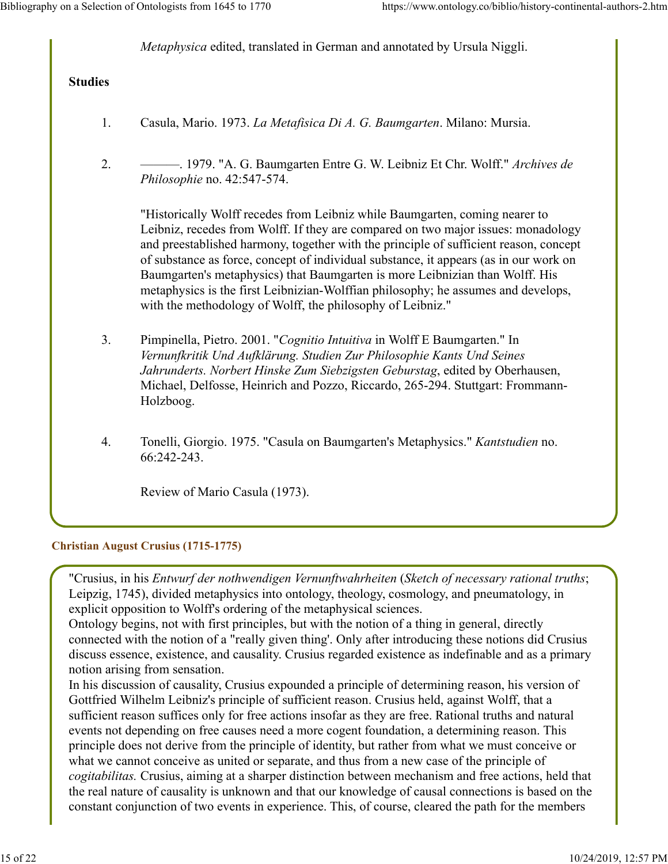*Metaphysica* edited, translated in German and annotated by Ursula Niggli.

## **Studies**

- 1. Casula, Mario. 1973. *La Metafisica Di A. G. Baumgarten*. Milano: Mursia.
- 2. ———. 1979. "A. G. Baumgarten Entre G. W. Leibniz Et Chr. Wolff." *Archives de Philosophie* no. 42:547-574.

"Historically Wolff recedes from Leibniz while Baumgarten, coming nearer to Leibniz, recedes from Wolff. If they are compared on two major issues: monadology and preestablished harmony, together with the principle of sufficient reason, concept of substance as force, concept of individual substance, it appears (as in our work on Baumgarten's metaphysics) that Baumgarten is more Leibnizian than Wolff. His metaphysics is the first Leibnizian-Wolffian philosophy; he assumes and develops, with the methodology of Wolff, the philosophy of Leibniz."

- 3. Pimpinella, Pietro. 2001. "*Cognitio Intuitiva* in Wolff E Baumgarten." In *Vernunfkritik Und Aufklärung. Studien Zur Philosophie Kants Und Seines Jahrunderts. Norbert Hinske Zum Siebzigsten Geburstag*, edited by Oberhausen, Michael, Delfosse, Heinrich and Pozzo, Riccardo, 265-294. Stuttgart: Frommann-Holzboog.
- 4. Tonelli, Giorgio. 1975. "Casula on Baumgarten's Metaphysics." *Kantstudien* no. 66:242-243.

Review of Mario Casula (1973).

#### **Christian August Crusius (1715-1775)**

"Crusius, in his *Entwurf der nothwendigen Vernunftwahrheiten* (*Sketch of necessary rational truths*; Leipzig, 1745), divided metaphysics into ontology, theology, cosmology, and pneumatology, in explicit opposition to Wolff's ordering of the metaphysical sciences.

Ontology begins, not with first principles, but with the notion of a thing in general, directly connected with the notion of a "really given thing'. Only after introducing these notions did Crusius discuss essence, existence, and causality. Crusius regarded existence as indefinable and as a primary notion arising from sensation.

In his discussion of causality, Crusius expounded a principle of determining reason, his version of Gottfried Wilhelm Leibniz's principle of sufficient reason. Crusius held, against Wolff, that a sufficient reason suffices only for free actions insofar as they are free. Rational truths and natural events not depending on free causes need a more cogent foundation, a determining reason. This principle does not derive from the principle of identity, but rather from what we must conceive or what we cannot conceive as united or separate, and thus from a new case of the principle of *cogitabilitas.* Crusius, aiming at a sharper distinction between mechanism and free actions, held that the real nature of causality is unknown and that our knowledge of causal connections is based on the constant conjunction of two events in experience. This, of course, cleared the path for the members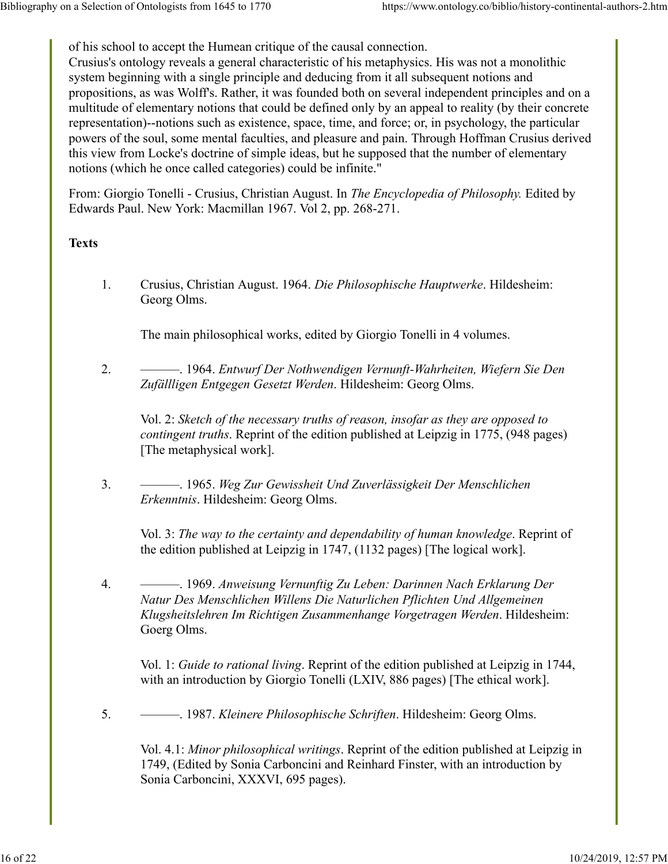of his school to accept the Humean critique of the causal connection.

Crusius's ontology reveals a general characteristic of his metaphysics. His was not a monolithic system beginning with a single principle and deducing from it all subsequent notions and propositions, as was Wolff's. Rather, it was founded both on several independent principles and on a multitude of elementary notions that could be defined only by an appeal to reality (by their concrete representation)--notions such as existence, space, time, and force; or, in psychology, the particular powers of the soul, some mental faculties, and pleasure and pain. Through Hoffman Crusius derived this view from Locke's doctrine of simple ideas, but he supposed that the number of elementary notions (which he once called categories) could be infinite."

From: Giorgio Tonelli - Crusius, Christian August. In *The Encyclopedia of Philosophy.* Edited by Edwards Paul. New York: Macmillan 1967. Vol 2, pp. 268-271.

### **Texts**

1. Crusius, Christian August. 1964. *Die Philosophische Hauptwerke*. Hildesheim: Georg Olms.

The main philosophical works, edited by Giorgio Tonelli in 4 volumes.

2. ———. 1964. *Entwurf Der Nothwendigen Vernunft-Wahrheiten, Wiefern Sie Den Zufällligen Entgegen Gesetzt Werden*. Hildesheim: Georg Olms.

Vol. 2: *Sketch of the necessary truths of reason, insofar as they are opposed to contingent truths*. Reprint of the edition published at Leipzig in 1775, (948 pages) [The metaphysical work].

3. ———. 1965. *Weg Zur Gewissheit Und Zuverlässigkeit Der Menschlichen Erkenntnis*. Hildesheim: Georg Olms.

Vol. 3: *The way to the certainty and dependability of human knowledge*. Reprint of the edition published at Leipzig in 1747, (1132 pages) [The logical work].

4. ———. 1969. *Anweisung Vernunftig Zu Leben: Darinnen Nach Erklarung Der Natur Des Menschlichen Willens Die Naturlichen Pflichten Und Allgemeinen Klugsheitslehren Im Richtigen Zusammenhange Vorgetragen Werden*. Hildesheim: Goerg Olms.

Vol. 1: *Guide to rational living*. Reprint of the edition published at Leipzig in 1744, with an introduction by Giorgio Tonelli (LXIV, 886 pages) [The ethical work].

5. ———. 1987. *Kleinere Philosophische Schriften*. Hildesheim: Georg Olms.

Vol. 4.1: *Minor philosophical writings*. Reprint of the edition published at Leipzig in 1749, (Edited by Sonia Carboncini and Reinhard Finster, with an introduction by Sonia Carboncini, XXXVI, 695 pages).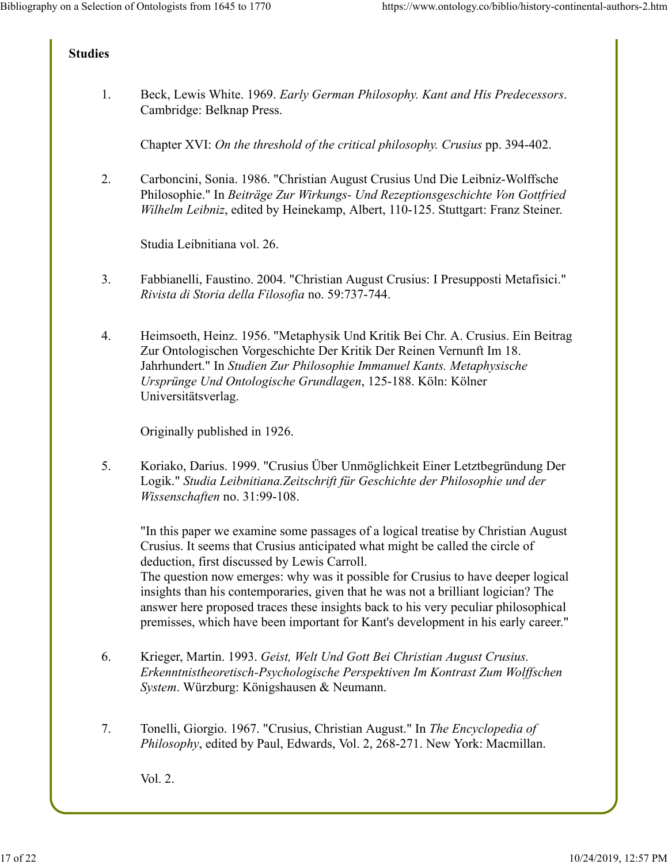## **Studies**

1. Beck, Lewis White. 1969. *Early German Philosophy. Kant and His Predecessors*. Cambridge: Belknap Press.

Chapter XVI: *On the threshold of the critical philosophy. Crusius* pp. 394-402.

2. Carboncini, Sonia. 1986. "Christian August Crusius Und Die Leibniz-Wolffsche Philosophie." In *Beiträge Zur Wirkungs- Und Rezeptionsgeschichte Von Gottfried Wilhelm Leibniz*, edited by Heinekamp, Albert, 110-125. Stuttgart: Franz Steiner.

Studia Leibnitiana vol. 26.

- 3. Fabbianelli, Faustino. 2004. "Christian August Crusius: I Presupposti Metafisici." *Rivista di Storia della Filosofia* no. 59:737-744.
- 4. Heimsoeth, Heinz. 1956. "Metaphysik Und Kritik Bei Chr. A. Crusius. Ein Beitrag Zur Ontologischen Vorgeschichte Der Kritik Der Reinen Vernunft Im 18. Jahrhundert." In *Studien Zur Philosophie Immanuel Kants. Metaphysische Ursprünge Und Ontologische Grundlagen*, 125-188. Köln: Kölner Universitätsverlag.

Originally published in 1926.

5. Koriako, Darius. 1999. "Crusius Über Unmöglichkeit Einer Letztbegründung Der Logik." *Studia Leibnitiana.Zeitschrift für Geschichte der Philosophie und der Wissenschaften* no. 31:99-108.

"In this paper we examine some passages of a logical treatise by Christian August Crusius. It seems that Crusius anticipated what might be called the circle of deduction, first discussed by Lewis Carroll.

The question now emerges: why was it possible for Crusius to have deeper logical insights than his contemporaries, given that he was not a brilliant logician? The answer here proposed traces these insights back to his very peculiar philosophical premisses, which have been important for Kant's development in his early career."

- 6. Krieger, Martin. 1993. *Geist, Welt Und Gott Bei Christian August Crusius. Erkenntnistheoretisch-Psychologische Perspektiven Im Kontrast Zum Wolffschen System*. Würzburg: Königshausen & Neumann.
- 7. Tonelli, Giorgio. 1967. "Crusius, Christian August." In *The Encyclopedia of Philosophy*, edited by Paul, Edwards, Vol. 2, 268-271. New York: Macmillan.

Vol. 2.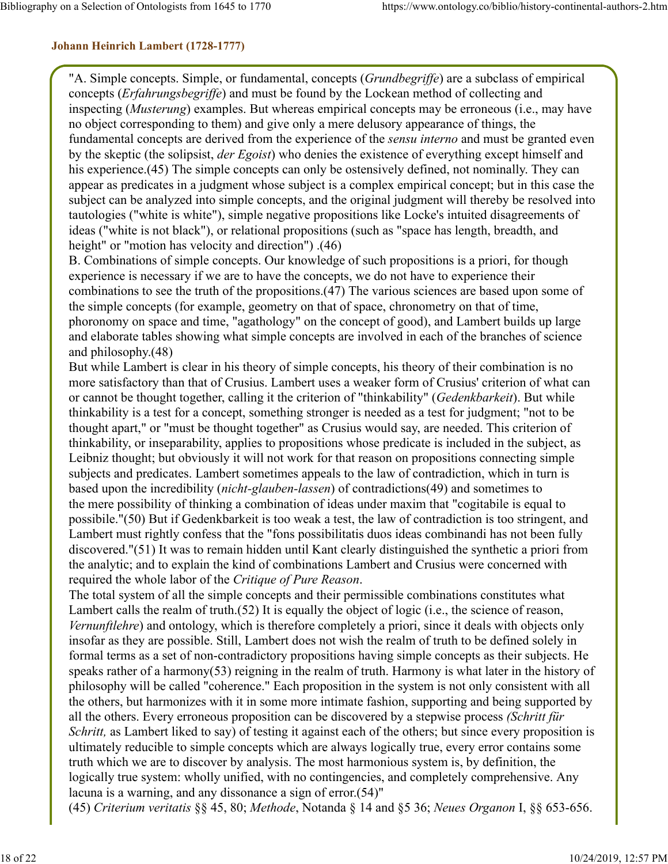### **Johann Heinrich Lambert (1728-1777)**

"A. Simple concepts. Simple, or fundamental, concepts (*Grundbegriffe*) are a subclass of empirical concepts (*Erfahrungsbegriffe*) and must be found by the Lockean method of collecting and inspecting (*Musterung*) examples. But whereas empirical concepts may be erroneous (i.e., may have no object corresponding to them) and give only a mere delusory appearance of things, the fundamental concepts are derived from the experience of the *sensu interno* and must be granted even by the skeptic (the solipsist, *der Egoist*) who denies the existence of everything except himself and his experience.(45) The simple concepts can only be ostensively defined, not nominally. They can appear as predicates in a judgment whose subject is a complex empirical concept; but in this case the subject can be analyzed into simple concepts, and the original judgment will thereby be resolved into tautologies ("white is white"), simple negative propositions like Locke's intuited disagreements of ideas ("white is not black"), or relational propositions (such as "space has length, breadth, and height" or "motion has velocity and direction") .(46)

B. Combinations of simple concepts. Our knowledge of such propositions is a priori, for though experience is necessary if we are to have the concepts, we do not have to experience their combinations to see the truth of the propositions.(47) The various sciences are based upon some of the simple concepts (for example, geometry on that of space, chronometry on that of time, phoronomy on space and time, "agathology" on the concept of good), and Lambert builds up large and elaborate tables showing what simple concepts are involved in each of the branches of science and philosophy.(48)

But while Lambert is clear in his theory of simple concepts, his theory of their combination is no more satisfactory than that of Crusius. Lambert uses a weaker form of Crusius' criterion of what can or cannot be thought together, calling it the criterion of "thinkability" (*Gedenkbarkeit*). But while thinkability is a test for a concept, something stronger is needed as a test for judgment; "not to be thought apart," or "must be thought together" as Crusius would say, are needed. This criterion of thinkability, or inseparability, applies to propositions whose predicate is included in the subject, as Leibniz thought; but obviously it will not work for that reason on propositions connecting simple subjects and predicates. Lambert sometimes appeals to the law of contradiction, which in turn is based upon the incredibility (*nicht-glauben-lassen*) of contradictions(49) and sometimes to the mere possibility of thinking a combination of ideas under maxim that "cogitabile is equal to possibile."(50) But if Gedenkbarkeit is too weak a test, the law of contradiction is too stringent, and Lambert must rightly confess that the "fons possibilitatis duos ideas combinandi has not been fully discovered."(51) It was to remain hidden until Kant clearly distinguished the synthetic a priori from the analytic; and to explain the kind of combinations Lambert and Crusius were concerned with required the whole labor of the *Critique of Pure Reason*.

The total system of all the simple concepts and their permissible combinations constitutes what Lambert calls the realm of truth.(52) It is equally the object of logic (i.e., the science of reason, *Vernunftlehre*) and ontology, which is therefore completely a priori, since it deals with objects only insofar as they are possible. Still, Lambert does not wish the realm of truth to be defined solely in formal terms as a set of non-contradictory propositions having simple concepts as their subjects. He speaks rather of a harmony(53) reigning in the realm of truth. Harmony is what later in the history of philosophy will be called "coherence." Each proposition in the system is not only consistent with all the others, but harmonizes with it in some more intimate fashion, supporting and being supported by all the others. Every erroneous proposition can be discovered by a stepwise process *(Schritt für Schritt,* as Lambert liked to say) of testing it against each of the others; but since every proposition is ultimately reducible to simple concepts which are always logically true, every error contains some truth which we are to discover by analysis. The most harmonious system is, by definition, the logically true system: wholly unified, with no contingencies, and completely comprehensive. Any lacuna is a warning, and any dissonance a sign of error.(54)"

(45) *Criterium veritatis* §§ 45, 80; *Methode*, Notanda § 14 and §5 36; *Neues Organon* I, §§ 653-656.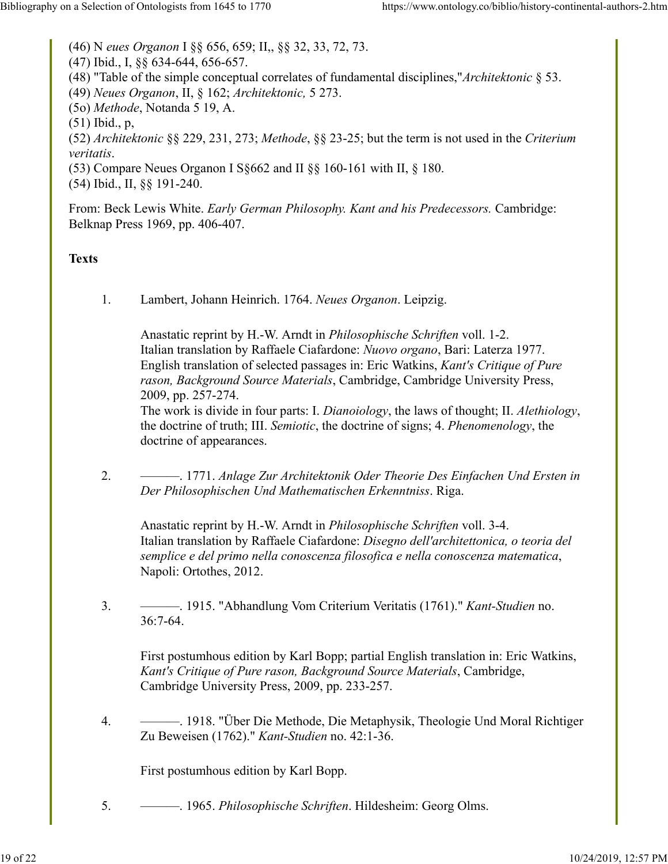(46) N *eues Organon* I §§ 656, 659; II,, §§ 32, 33, 72, 73. (47) Ibid., I, §§ 634-644, 656-657. (48) "Table of the simple conceptual correlates of fundamental disciplines,"*Architektonic* § 53. (49) *Neues Organon*, II, § 162; *Architektonic,* 5 273. (5o) *Methode*, Notanda 5 19, A. (51) Ibid., p, (52) *Architektonic* §§ 229, 231, 273; *Methode*, §§ 23-25; but the term is not used in the *Criterium veritatis*. (53) Compare Neues Organon I S§662 and II §§ 160-161 with II, § 180. (54) Ibid., II, §§ 191-240.

From: Beck Lewis White. *Early German Philosophy. Kant and his Predecessors.* Cambridge: Belknap Press 1969, pp. 406-407.

### **Texts**

1. Lambert, Johann Heinrich. 1764. *Neues Organon*. Leipzig.

Anastatic reprint by H.-W. Arndt in *Philosophische Schriften* voll. 1-2. Italian translation by Raffaele Ciafardone: *Nuovo organo*, Bari: Laterza 1977. English translation of selected passages in: Eric Watkins, *Kant's Critique of Pure rason, Background Source Materials*, Cambridge, Cambridge University Press, 2009, pp. 257-274.

The work is divide in four parts: I. *Dianoiology*, the laws of thought; II. *Alethiology*, the doctrine of truth; III. *Semiotic*, the doctrine of signs; 4. *Phenomenology*, the doctrine of appearances.

2. ———. 1771. *Anlage Zur Architektonik Oder Theorie Des Einfachen Und Ersten in Der Philosophischen Und Mathematischen Erkenntniss*. Riga.

Anastatic reprint by H.-W. Arndt in *Philosophische Schriften* voll. 3-4. Italian translation by Raffaele Ciafardone: *Disegno dell'architettonica, o teoria del semplice e del primo nella conoscenza filosofica e nella conoscenza matematica*, Napoli: Ortothes, 2012.

3. ———. 1915. "Abhandlung Vom Criterium Veritatis (1761)." *Kant-Studien* no. 36:7-64.

First postumhous edition by Karl Bopp; partial English translation in: Eric Watkins, *Kant's Critique of Pure rason, Background Source Materials*, Cambridge, Cambridge University Press, 2009, pp. 233-257.

4. ———. 1918. "Über Die Methode, Die Metaphysik, Theologie Und Moral Richtiger Zu Beweisen (1762)." *Kant-Studien* no. 42:1-36.

First postumhous edition by Karl Bopp.

5. ———. 1965. *Philosophische Schriften*. Hildesheim: Georg Olms.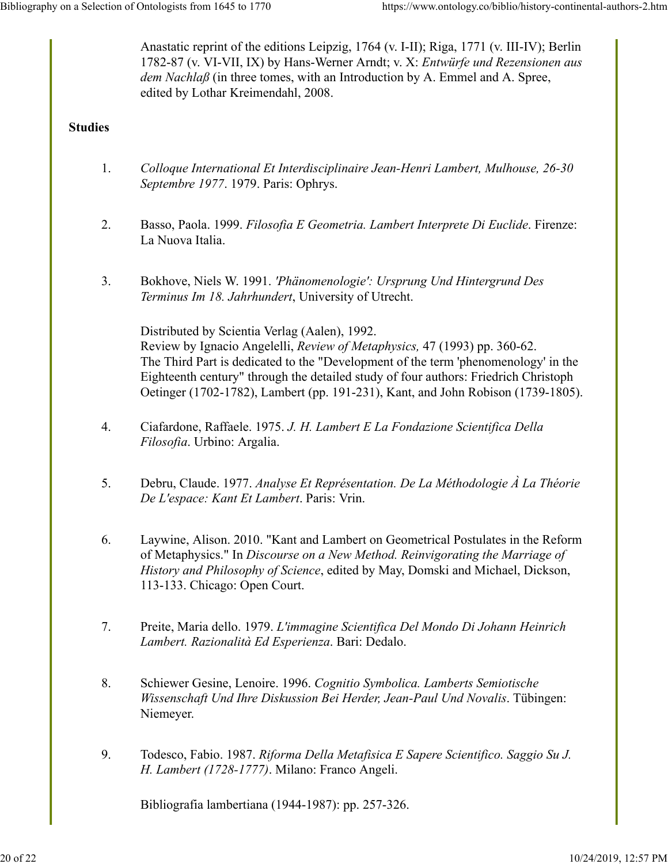Anastatic reprint of the editions Leipzig, 1764 (v. I-II); Riga, 1771 (v. III-IV); Berlin 1782-87 (v. VI-VII, IX) by Hans-Werner Arndt; v. X: *Entwürfe und Rezensionen aus dem Nachlaß* (in three tomes, with an Introduction by A. Emmel and A. Spree, edited by Lothar Kreimendahl, 2008.

## **Studies**

- 1. *Colloque International Et Interdisciplinaire Jean-Henri Lambert, Mulhouse, 26-30 Septembre 1977*. 1979. Paris: Ophrys.
- 2. Basso, Paola. 1999. *Filosofia E Geometria. Lambert Interprete Di Euclide*. Firenze: La Nuova Italia.
- 3. Bokhove, Niels W. 1991. *'Phänomenologie': Ursprung Und Hintergrund Des Terminus Im 18. Jahrhundert*, University of Utrecht.

Distributed by Scientia Verlag (Aalen), 1992.

Review by Ignacio Angelelli, *Review of Metaphysics,* 47 (1993) pp. 360-62. The Third Part is dedicated to the "Development of the term 'phenomenology' in the Eighteenth century" through the detailed study of four authors: Friedrich Christoph Oetinger (1702-1782), Lambert (pp. 191-231), Kant, and John Robison (1739-1805).

- 4. Ciafardone, Raffaele. 1975. *J. H. Lambert E La Fondazione Scientifica Della Filosofia*. Urbino: Argalia.
- 5. Debru, Claude. 1977. *Analyse Et Représentation. De La Méthodologie À La Théorie De L'espace: Kant Et Lambert*. Paris: Vrin.
- 6. Laywine, Alison. 2010. "Kant and Lambert on Geometrical Postulates in the Reform of Metaphysics." In *Discourse on a New Method. Reinvigorating the Marriage of History and Philosophy of Science*, edited by May, Domski and Michael, Dickson, 113-133. Chicago: Open Court.
- 7. Preite, Maria dello. 1979. *L'immagine Scientifica Del Mondo Di Johann Heinrich Lambert. Razionalità Ed Esperienza*. Bari: Dedalo.
- 8. Schiewer Gesine, Lenoire. 1996. *Cognitio Symbolica. Lamberts Semiotische Wissenschaft Und Ihre Diskussion Bei Herder, Jean-Paul Und Novalis*. Tübingen: Niemeyer.
- 9. Todesco, Fabio. 1987. *Riforma Della Metafisica E Sapere Scientifico. Saggio Su J. H. Lambert (1728-1777)*. Milano: Franco Angeli.

Bibliografia lambertiana (1944-1987): pp. 257-326.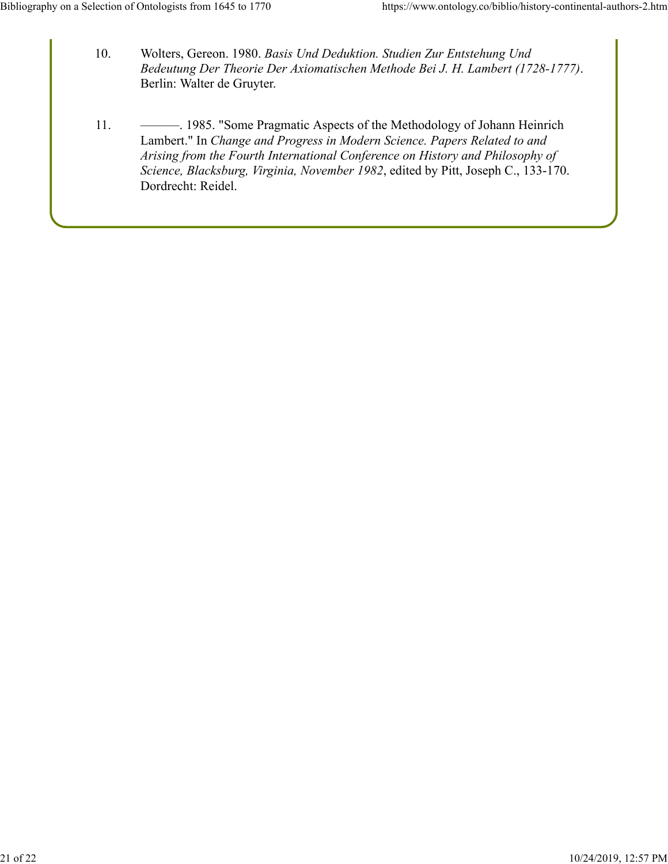- 10. Wolters, Gereon. 1980. *Basis Und Deduktion. Studien Zur Entstehung Und Bedeutung Der Theorie Der Axiomatischen Methode Bei J. H. Lambert (1728-1777)*. Berlin: Walter de Gruyter.
- 11. ———. 1985. "Some Pragmatic Aspects of the Methodology of Johann Heinrich Lambert." In *Change and Progress in Modern Science. Papers Related to and Arising from the Fourth International Conference on History and Philosophy of Science, Blacksburg, Virginia, November 1982*, edited by Pitt, Joseph C., 133-170. Dordrecht: Reidel.